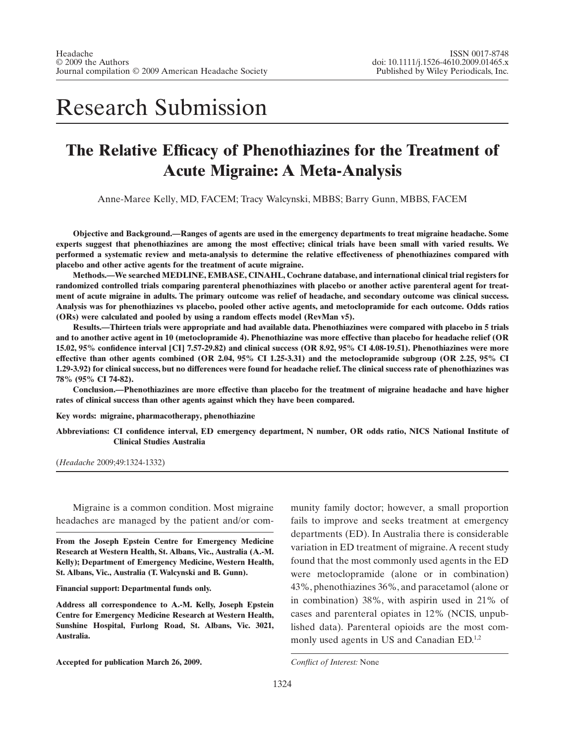# Research Submission

# **The Relative Efficacy of Phenothiazines for the Treatment of Acute Migraine: A Meta-Analysis**

Anne-Maree Kelly, MD, FACEM; Tracy Walcynski, MBBS; Barry Gunn, MBBS, FACEM

**Objective and Background.—Ranges of agents are used in the emergency departments to treat migraine headache. Some experts suggest that phenothiazines are among the most effective; clinical trials have been small with varied results. We performed a systematic review and meta-analysis to determine the relative effectiveness of phenothiazines compared with placebo and other active agents for the treatment of acute migraine.**

**Methods.—We searched MEDLINE, EMBASE, CINAHL, Cochrane database, and international clinical trial registers for randomized controlled trials comparing parenteral phenothiazines with placebo or another active parenteral agent for treatment of acute migraine in adults. The primary outcome was relief of headache, and secondary outcome was clinical success. Analysis was for phenothiazines vs placebo, pooled other active agents, and metoclopramide for each outcome. Odds ratios (ORs) were calculated and pooled by using a random effects model (RevMan v5).**

**Results.—Thirteen trials were appropriate and had available data. Phenothiazines were compared with placebo in 5 trials and to another active agent in 10 (metoclopramide 4). Phenothiazine was more effective than placebo for headache relief (OR 15.02, 95% confidence interval [CI] 7.57-29.82) and clinical success (OR 8.92, 95% CI 4.08-19.51). Phenothiazines were more effective than other agents combined (OR 2.04, 95% CI 1.25-3.31) and the metoclopramide subgroup (OR 2.25, 95% CI 1.29-3.92) for clinical success, but no differences were found for headache relief. The clinical success rate of phenothiazines was 78% (95% CI 74-82).**

**Conclusion.—Phenothiazines are more effective than placebo for the treatment of migraine headache and have higher rates of clinical success than other agents against which they have been compared.**

**Key words: migraine, pharmacotherapy, phenothiazine**

**Abbreviations: CI confidence interval, ED emergency department, N number, OR odds ratio, NICS National Institute of Clinical Studies Australia**

(*Headache* 2009;49:1324-1332)

Migraine is a common condition. Most migraine headaches are managed by the patient and/or com-

**From the Joseph Epstein Centre for Emergency Medicine Research at Western Health, St. Albans, Vic., Australia (A.-M. Kelly); Department of Emergency Medicine, Western Health, St. Albans, Vic., Australia (T. Walcynski and B. Gunn).**

**Financial support: Departmental funds only.**

**Address all correspondence to A.-M. Kelly, Joseph Epstein Centre for Emergency Medicine Research at Western Health, Sunshine Hospital, Furlong Road, St. Albans, Vic. 3021, Australia.**

**Accepted for publication March 26, 2009.** *Conflict of Interest:* None

munity family doctor; however, a small proportion fails to improve and seeks treatment at emergency departments (ED). In Australia there is considerable variation in ED treatment of migraine. A recent study found that the most commonly used agents in the ED were metoclopramide (alone or in combination) 43%, phenothiazines 36%, and paracetamol (alone or in combination) 38%, with aspirin used in 21% of cases and parenteral opiates in 12% (NCIS, unpublished data). Parenteral opioids are the most commonly used agents in US and Canadian  $ED^{1,2}$ .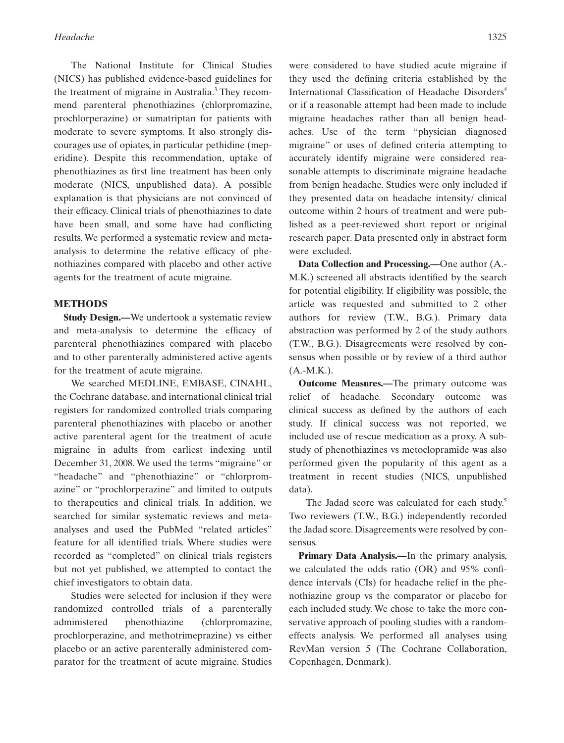The National Institute for Clinical Studies (NICS) has published evidence-based guidelines for the treatment of migraine in Australia.<sup>3</sup> They recommend parenteral phenothiazines (chlorpromazine, prochlorperazine) or sumatriptan for patients with moderate to severe symptoms. It also strongly discourages use of opiates, in particular pethidine (meperidine). Despite this recommendation, uptake of phenothiazines as first line treatment has been only moderate (NICS, unpublished data). A possible explanation is that physicians are not convinced of their efficacy. Clinical trials of phenothiazines to date have been small, and some have had conflicting results. We performed a systematic review and metaanalysis to determine the relative efficacy of phenothiazines compared with placebo and other active agents for the treatment of acute migraine.

#### **METHODS**

**Study Design.—**We undertook a systematic review and meta-analysis to determine the efficacy of parenteral phenothiazines compared with placebo and to other parenterally administered active agents for the treatment of acute migraine.

We searched MEDLINE, EMBASE, CINAHL, the Cochrane database, and international clinical trial registers for randomized controlled trials comparing parenteral phenothiazines with placebo or another active parenteral agent for the treatment of acute migraine in adults from earliest indexing until December 31, 2008.We used the terms "migraine" or "headache" and "phenothiazine" or "chlorpromazine" or "prochlorperazine" and limited to outputs to therapeutics and clinical trials. In addition, we searched for similar systematic reviews and metaanalyses and used the PubMed "related articles" feature for all identified trials. Where studies were recorded as "completed" on clinical trials registers but not yet published, we attempted to contact the chief investigators to obtain data.

Studies were selected for inclusion if they were randomized controlled trials of a parenterally administered phenothiazine (chlorpromazine, prochlorperazine, and methotrimeprazine) vs either placebo or an active parenterally administered comparator for the treatment of acute migraine. Studies

were considered to have studied acute migraine if they used the defining criteria established by the International Classification of Headache Disorders<sup>4</sup> or if a reasonable attempt had been made to include migraine headaches rather than all benign headaches. Use of the term "physician diagnosed migraine" or uses of defined criteria attempting to accurately identify migraine were considered reasonable attempts to discriminate migraine headache from benign headache. Studies were only included if they presented data on headache intensity/ clinical outcome within 2 hours of treatment and were published as a peer-reviewed short report or original research paper. Data presented only in abstract form were excluded.

**Data Collection and Processing.—**One author (A.- M.K.) screened all abstracts identified by the search for potential eligibility. If eligibility was possible, the article was requested and submitted to 2 other authors for review (T.W., B.G.). Primary data abstraction was performed by 2 of the study authors (T.W., B.G.). Disagreements were resolved by consensus when possible or by review of a third author  $(A.-M.K.).$ 

**Outcome Measures.—**The primary outcome was relief of headache. Secondary outcome was clinical success as defined by the authors of each study. If clinical success was not reported, we included use of rescue medication as a proxy. A substudy of phenothiazines vs metoclopramide was also performed given the popularity of this agent as a treatment in recent studies (NICS, unpublished data).

The Jadad score was calculated for each study.<sup>5</sup> Two reviewers (T.W., B.G.) independently recorded the Jadad score. Disagreements were resolved by consensus.

**Primary Data Analysis.—**In the primary analysis, we calculated the odds ratio (OR) and 95% confidence intervals (CIs) for headache relief in the phenothiazine group vs the comparator or placebo for each included study. We chose to take the more conservative approach of pooling studies with a randomeffects analysis. We performed all analyses using RevMan version 5 (The Cochrane Collaboration, Copenhagen, Denmark).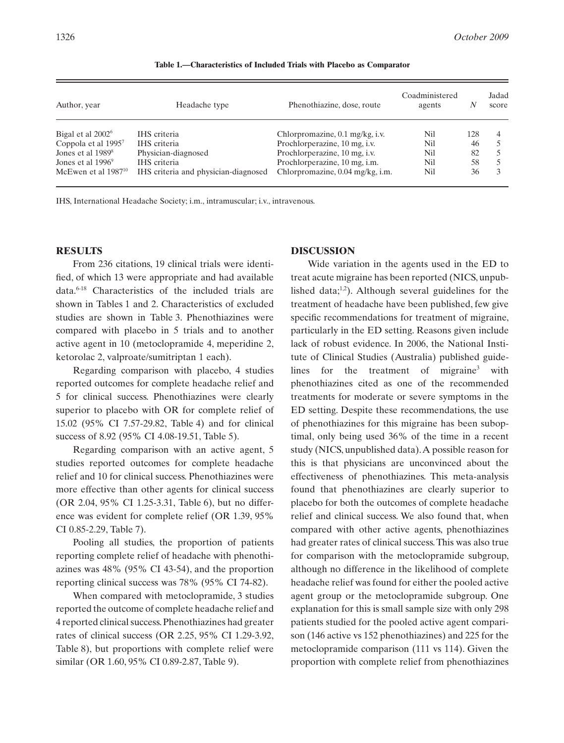| Author, year                    | Headache type                        | Phenothiazine, dose, route       | Coadministered<br>agents |     | Jadad<br>score |
|---------------------------------|--------------------------------------|----------------------------------|--------------------------|-----|----------------|
| Bigal et al 2002 <sup>6</sup>   | IHS criteria                         | Chlorpromazine, 0.1 mg/kg, i.v.  | Nil                      | 128 | 4              |
| Coppola et al 1995 <sup>7</sup> | IHS criteria                         | Prochlorperazine, 10 mg, i.v.    | Nil                      | 46  |                |
| Jones et al $19898$             | Physician-diagnosed                  | Prochlorperazine, 10 mg, i.v.    | Nil                      | 82  |                |
| Jones et al 1996 <sup>9</sup>   | IHS criteria                         | Prochlorperazine, 10 mg, i.m.    | Nil                      | 58  |                |
| McEwen et al $1987^{10}$        | IHS criteria and physician-diagnosed | Chlorpromazine, 0.04 mg/kg, i.m. | Nil                      | 36  |                |

**Table 1.—Characteristics of Included Trials with Placebo as Comparator**

IHS, International Headache Society; i.m., intramuscular; i.v., intravenous.

#### **RESULTS**

From 236 citations, 19 clinical trials were identified, of which 13 were appropriate and had available data.6-18 Characteristics of the included trials are shown in Tables 1 and 2. Characteristics of excluded studies are shown in Table 3. Phenothiazines were compared with placebo in 5 trials and to another active agent in 10 (metoclopramide 4, meperidine 2, ketorolac 2, valproate/sumitriptan 1 each).

Regarding comparison with placebo, 4 studies reported outcomes for complete headache relief and 5 for clinical success. Phenothiazines were clearly superior to placebo with OR for complete relief of 15.02 (95% CI 7.57-29.82, Table 4) and for clinical success of 8.92 (95% CI 4.08-19.51, Table 5).

Regarding comparison with an active agent, 5 studies reported outcomes for complete headache relief and 10 for clinical success. Phenothiazines were more effective than other agents for clinical success (OR 2.04, 95% CI 1.25-3.31, Table 6), but no difference was evident for complete relief (OR 1.39, 95% CI 0.85-2.29, Table 7).

Pooling all studies, the proportion of patients reporting complete relief of headache with phenothiazines was 48% (95% CI 43-54), and the proportion reporting clinical success was 78% (95% CI 74-82).

When compared with metoclopramide, 3 studies reported the outcome of complete headache relief and 4 reported clinical success. Phenothiazines had greater rates of clinical success (OR 2.25, 95% CI 1.29-3.92, Table 8), but proportions with complete relief were similar (OR 1.60, 95% CI 0.89-2.87, Table 9).

#### **DISCUSSION**

Wide variation in the agents used in the ED to treat acute migraine has been reported (NICS, unpublished data; $\frac{1}{2}$ ). Although several guidelines for the treatment of headache have been published, few give specific recommendations for treatment of migraine, particularly in the ED setting. Reasons given include lack of robust evidence. In 2006, the National Institute of Clinical Studies (Australia) published guidelines for the treatment of migraine<sup>3</sup> with phenothiazines cited as one of the recommended treatments for moderate or severe symptoms in the ED setting. Despite these recommendations, the use of phenothiazines for this migraine has been suboptimal, only being used 36% of the time in a recent study (NICS, unpublished data).A possible reason for this is that physicians are unconvinced about the effectiveness of phenothiazines. This meta-analysis found that phenothiazines are clearly superior to placebo for both the outcomes of complete headache relief and clinical success. We also found that, when compared with other active agents, phenothiazines had greater rates of clinical success.This was also true for comparison with the metoclopramide subgroup, although no difference in the likelihood of complete headache relief was found for either the pooled active agent group or the metoclopramide subgroup. One explanation for this is small sample size with only 298 patients studied for the pooled active agent comparison (146 active vs 152 phenothiazines) and 225 for the metoclopramide comparison (111 vs 114). Given the proportion with complete relief from phenothiazines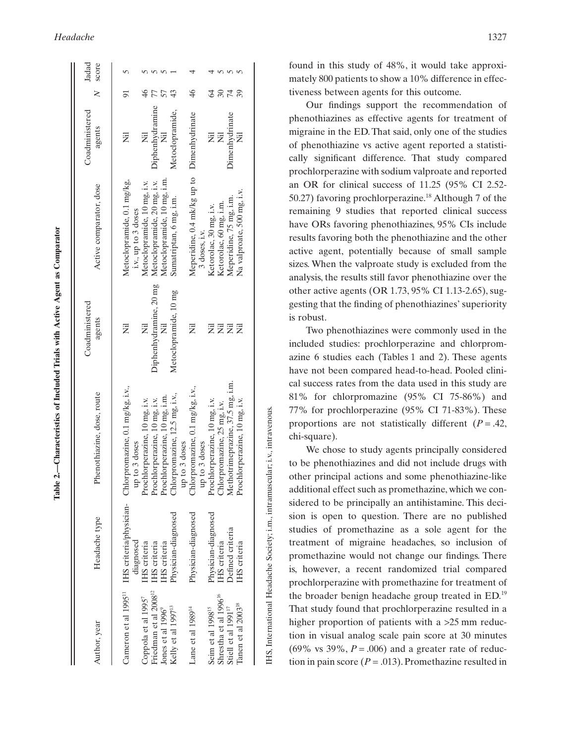| Ì                    |
|----------------------|
| $\overline{a}$       |
| $\frac{1}{2}$<br>ׇ֚֘ |
| ֡֡֡֡֡֡֡              |
| ļ                    |
| l<br>I<br>I          |
|                      |
|                      |
| i<br>١               |
| J<br>I               |

 $\overline{5}$ 

| Author, year                      | Headache type       | Phenothiazine, dose, route                                                                                 | Coadministered<br>agents  | Active comparator, dose                                     | Coadministered<br>agents  | $\geq$ | Jadad<br>score |
|-----------------------------------|---------------------|------------------------------------------------------------------------------------------------------------|---------------------------|-------------------------------------------------------------|---------------------------|--------|----------------|
|                                   | diagnosed           | Cameron et al 1995 <sup>11</sup> IHS criteria/physician- Chlorpromazine, 0.1 mg/kg, i.v.,<br>up to 3 doses | Ë                         | Metoclopramide, 0.1 mg/kg,<br>i.v., up to 3 doses           | Ż                         |        |                |
| Coppola et al 19957               | IHS criteria        | Prochlorperazine, 10 mg, i.v.                                                                              | Ë                         | Metoclopramide, 10 mg, i.v.                                 | $\overline{\overline{z}}$ |        |                |
| Friedman et al 2008 <sup>12</sup> | IHS criteria        | Prochlorperazine, 10 mg, i.v.                                                                              | Diphenhydramine, 20 mg    | Metoclopramide, 20 mg, i.v.                                 | Diphenhydramine           |        |                |
| Jones et al $1996^9$              | IHS criteria        | Prochlorperazine, 10 mg, i.m.                                                                              |                           | Metoclopramide, 10 mg, i.m.                                 |                           |        |                |
| Kelly et al 1997 <sup>13</sup>    | Physician-diagnosed | Chlorpromazine, 12.5 mg, i.v.,<br>up to 3 doses                                                            | Metoclopramide, 10 mg     | Sumatriptan, 6 mg, i.m.                                     | Metoclopramide,           |        |                |
| Lane et al 1989 <sup>14</sup>     | Physician-diagnosed | Chlorpromazine, 0.1 mg/kg, i.v.,<br>up to 3 doses                                                          | Ż                         | Meperidine, 0.4 mk/kg up to Dimenhydrinate<br>3 doses, i.v. |                           | 46     |                |
| Seim et al 1998 <sup>15</sup>     | Physician-diagnosed | Prochlorperazine, 10 mg, i.v.                                                                              | 戻                         | Ketorolac, 30 mg, i.v.                                      | ž                         |        |                |
| Shrestha et al 1996 <sup>16</sup> | IHS criteria        | Chlorpromazine, 25 mg, i.v.                                                                                | $\overline{\overline{z}}$ | Ketorolac, 60 mg, i.m.                                      | Ë                         |        |                |
| Stiell et al 1991 <sup>17</sup>   | Defined criteria    | Methotrimeprazine, 37.5 mg, i.m.                                                                           | Ξ                         | Meperidine, 75 mg, i.m.                                     | Dimenhydrinate            |        |                |
| Tanen et al 2003 <sup>18</sup>    | <b>IHS</b> criteria | Prochlorperazine, 10 mg, i.v.                                                                              | Ē                         | Na valproate, 500 mg, i.v.                                  | ż                         |        |                |
|                                   |                     |                                                                                                            |                           |                                                             |                           |        |                |

IHS, International Headache Society; i.m., intramuscular; i.v., intravenous. IHS, International Headache Society; i.m., intramuscular; i.v., intravenous.

found in this study of 48%, it would take approximately 800 patients to show a 10% difference in effectiveness between agents for this outcome.

Our findings support the recommendation of phenothiazines as effective agents for treatment of migraine in the ED. That said, only one of the studies of phenothiazine vs active agent reported a statistically significant difference. That study compared prochlorperazine with sodium valproate and reported an OR for clinical success of 11.25 (95% CI 2.52- 50.27) favoring prochlorperazine.<sup>18</sup> Although 7 of the remaining 9 studies that reported clinical success have ORs favoring phenothiazines, 95% CIs include results favoring both the phenothiazine and the other active agent, potentially because of small sample sizes. When the valproate study is excluded from the analysis, the results still favor phenothiazine over the other active agents (OR 1.73, 95% CI 1.13-2.65), suggesting that the finding of phenothiazines' superiority is robust.

Two phenothiazines were commonly used in the included studies: prochlorperazine and chlorpromazine 6 studies each (Tables 1 and 2). These agents have not been compared head-to-head. Pooled clinical success rates from the data used in this study are 81% for chlorpromazine (95% CI 75-86%) and 77% for prochlorperazine (95% CI 71-83%). These proportions are not statistically different  $(P = .42)$ , chi-square).

We chose to study agents principally considered to be phenothiazines and did not include drugs with other principal actions and some phenothiazine-like additional effect such as promethazine, which we considered to be principally an antihistamine. This decision is open to question. There are no published studies of promethazine as a sole agent for the treatment of migraine headaches, so inclusion of promethazine would not change our findings. There is, however, a recent randomized trial compared prochlorperazine with promethazine for treatment of the broader benign headache group treated in ED.19 That study found that prochlorperazine resulted in a higher proportion of patients with a >25 mm reduction in visual analog scale pain score at 30 minutes (69% vs 39%,  $P = .006$ ) and a greater rate of reduction in pain score  $(P = .013)$ . Promethazine resulted in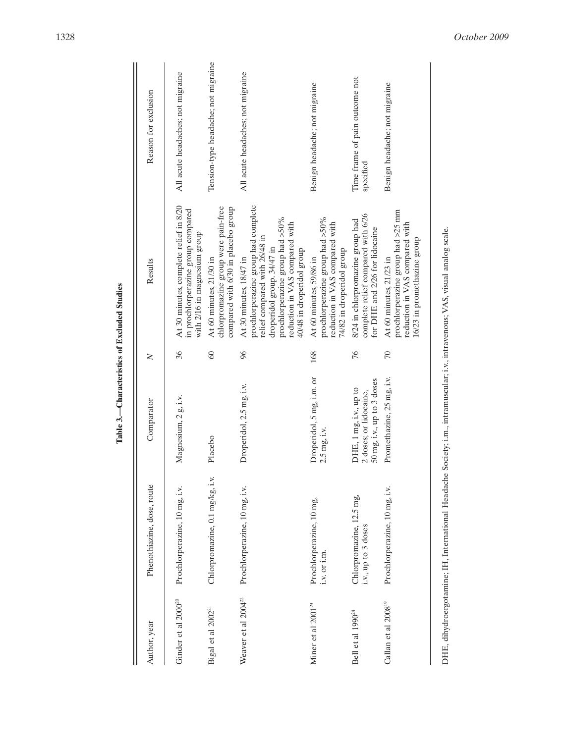| Author, year                    | Phenothiazine, dose, route                      | Comparator                                                                     | $\geq$          | Results                                                                                                                                                                                                                         | Reason for exclusion                        |
|---------------------------------|-------------------------------------------------|--------------------------------------------------------------------------------|-----------------|---------------------------------------------------------------------------------------------------------------------------------------------------------------------------------------------------------------------------------|---------------------------------------------|
| Ginder et al 2000 <sup>20</sup> | Prochlorperazine, 10 mg, i.v.                   | Magnesium, 2 g, i.v.                                                           | 36              | At 30 minutes, complete relief in 8/20<br>in prochlorperazine group compared<br>with 2/16 in magnesium group                                                                                                                    | All acute headaches; not migraine           |
| Bigal et al 2002 <sup>21</sup>  | Chlorpromazine, 0.1 mg/kg, i.v.                 | Placebo                                                                        | $\overline{60}$ | chlorpromazine group were pain-free<br>compared with 6/30 in placebo group<br>At 60 minutes, 21/30 in                                                                                                                           | Tension-type headache; not migraine         |
| Weaver et al 2004 <sup>22</sup> | Prochlorperazine, 10 mg, i.v.                   | Droperidol, 2.5 mg, i.v.                                                       | $\infty$        | prochlorperazine group had complete<br>prochlorperazine group had >50%<br>reduction in VAS compared with<br>relief compared with 26/48 in<br>droperidol group. 34/47 in<br>40/48 in droperidol group<br>At 30 minutes, 18/47 in | All acute headaches; not migraine           |
| Miner et al 2001 <sup>23</sup>  | Prochlorperazine, 10 mg,<br>i.v. or i.m.        | Droperidol, 5 mg, i.m. or<br>$2.5$ mg, i.v.                                    | 168             | prochlorperazine group had >50%<br>reduction in VAS compared with<br>74/82 in droperidol group<br>At 60 minutes, 59/86 in                                                                                                       | Benign headache; not migraine               |
| Bell et al 1990 <sup>24</sup>   | Chlorpromazine, 12.5 mg,<br>i.v., up to 3 doses | 50 mg, i.v., up to 3 doses<br>DHE, 1 mg, i.v., up to<br>2 doses; or lidocaine, | 76              | complete relief compared with 6/26<br>8/24 in chlorpromazine group had<br>for DHE and 2/26 for lidocaine                                                                                                                        | Time frame of pain outcome not<br>specified |
| Callan et al 2008 <sup>19</sup> | Prochlorperazine, 10 mg, i.v.                   | Promethazine, 25 mg, i.v.                                                      | $\mathcal{L}$   | prochlorperazine group had >25 mm<br>reduction in VAS compared with<br>16/23 in promethazine group<br>At 60 minutes, 21/23 in                                                                                                   | Benign headache; not migraine               |
|                                 |                                                 |                                                                                |                 |                                                                                                                                                                                                                                 |                                             |

Table 3.-Characteristics of Excluded Studies **Table 3.—Characteristics of Excluded Studies**

DHE, dihydroergotamine; IH, International Headache Society; i.m., intramuscular; i.v., intravenous; VAS, visual analog scale. DHE, dihydroergotamine; IH, International Headache Society; i.m., intramuscular; i.v., intravenous; VAS, visual analog scale.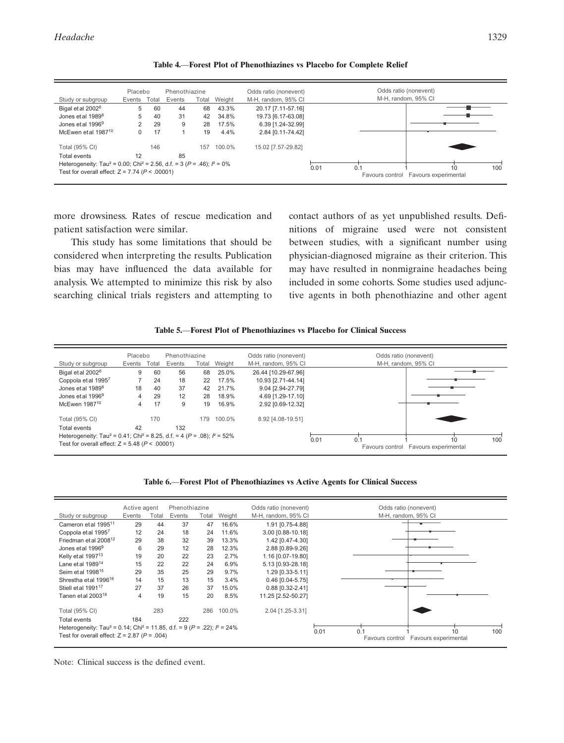| Study or subgroup                                                                                                                                          | Placebo<br>Events | Total | Phenothiazine<br>Events | Total | Weight | Odds ratio (nonevent)<br>M-H. random, 95% CI | Odds ratio (nonevent)<br>M-H. random, 95% CI                        |
|------------------------------------------------------------------------------------------------------------------------------------------------------------|-------------------|-------|-------------------------|-------|--------|----------------------------------------------|---------------------------------------------------------------------|
| Bigal et al 2002 <sup>6</sup>                                                                                                                              | 5                 | 60    | 44                      | 68    | 43.3%  | 20.17 [7.11-57.16]                           |                                                                     |
| Jones et al 1989 <sup>8</sup>                                                                                                                              | 5                 | 40    | 31                      | 42    | 34.8%  | 19.73 [6.17-63.08]                           |                                                                     |
| Jones et al 1996 <sup>9</sup>                                                                                                                              |                   | 29    | 9                       | 28    | 17.5%  | 6.39 [1.24-32.99]                            |                                                                     |
| McEwen et al 1987 <sup>10</sup>                                                                                                                            |                   | 17    |                         | 19    | 4.4%   | 2.84 [0.11-74.42]                            |                                                                     |
| Total (95% CI)                                                                                                                                             |                   | 146   |                         | 157   | 100.0% | 15.02 [7.57-29.82]                           |                                                                     |
| Total events                                                                                                                                               | 12                |       | 85                      |       |        |                                              |                                                                     |
| Heterogeneity: Tau <sup>2</sup> = 0.00; Chi <sup>2</sup> = 2.56, d.f. = 3 ( $P = .46$ ); $P = 0\%$<br>Test for overall effect: $Z = 7.74$ ( $P < .00001$ ) |                   |       |                         |       |        |                                              | 0.01<br>10<br>100<br>0.1<br>Favours experimental<br>Favours control |

**Table 4.**—**Forest Plot of Phenothiazines vs Placebo for Complete Relief**

more drowsiness. Rates of rescue medication and patient satisfaction were similar.

This study has some limitations that should be considered when interpreting the results. Publication bias may have influenced the data available for analysis. We attempted to minimize this risk by also searching clinical trials registers and attempting to contact authors of as yet unpublished results. Definitions of migraine used were not consistent between studies, with a significant number using physician-diagnosed migraine as their criterion. This may have resulted in nonmigraine headaches being included in some cohorts. Some studies used adjunctive agents in both phenothiazine and other agent

| Table 5.—Forest Plot of Phenothiazines vs Placebo for Clinical Success |  |  |
|------------------------------------------------------------------------|--|--|
|------------------------------------------------------------------------|--|--|

|                                                                                                     | Placebo |       | Phenothiazine |       |        | Odds ratio (nonevent) | Odds ratio (nonevent)                   |
|-----------------------------------------------------------------------------------------------------|---------|-------|---------------|-------|--------|-----------------------|-----------------------------------------|
| Study or subgroup                                                                                   | Events  | Total | Events        | Total | Weight | M-H. random, 95% CI   | M-H. random, 95% CI                     |
| Bigal et al 2002 <sup>6</sup>                                                                       | 9       | 60    | 56            | 68    | 25.0%  | 26.44 [10.29-67.96]   |                                         |
| Coppola et al 19957                                                                                 |         | 24    | 18            | 22    | 17.5%  | 10.93 [2.71-44.14]    |                                         |
| Jones et al 1989 <sup>8</sup>                                                                       | 18      | 40    | 37            | 42    | 21.7%  | 9.04 [2.94-27.79]     |                                         |
| Jones et al 1996 <sup>9</sup>                                                                       | 4       | 29    | 12            | 28    | 18.9%  | 4.69 [1.29-17.10]     |                                         |
| McEwen 1987 <sup>10</sup>                                                                           |         | 17    | 9             | 19    | 16.9%  | 2.92 [0.69-12.32]     |                                         |
| Total (95% CI)                                                                                      |         | 170   |               | 179   | 100.0% | 8.92 [4.08-19.51]     |                                         |
| Total events                                                                                        | 42      |       | 132           |       |        |                       |                                         |
| Heterogeneity: Tau <sup>2</sup> = 0.41; Chi <sup>2</sup> = 8.25, d.f. = 4 ( $P = .08$ ); $P = 52\%$ |         |       |               |       |        |                       | 100<br>0.01<br>0.1<br>10                |
| Test for overall effect: $Z = 5.48$ ( $P < .00001$ )                                                |         |       |               |       |        |                       | Favours experimental<br>Favours control |



|                                                                                                      | Active agent |       | Phenothiazine |       |        | Odds ratio (nonevent) | Odds ratio (nonevent)                                         |
|------------------------------------------------------------------------------------------------------|--------------|-------|---------------|-------|--------|-----------------------|---------------------------------------------------------------|
| Study or subgroup                                                                                    | Events       | Total | Events        | Total | Weight | M-H, random, 95% CI   | M-H, random, 95% CI                                           |
| Cameron et al 1995 <sup>11</sup>                                                                     | 29           | 44    | 37            | 47    | 16.6%  | 1.91 [0.75-4.88]      |                                                               |
| Coppola et al 19957                                                                                  | 12           | 24    | 18            | 24    | 11.6%  | 3.00 [0.88-10.18]     |                                                               |
| Friedman et al 2008 <sup>12</sup>                                                                    | 29           | 38    | 32            | 39    | 13.3%  | 1.42 [0.47-4.30]      |                                                               |
| Jones et al 1996 <sup>9</sup>                                                                        | 6            | 29    | 12            | 28    | 12.3%  | 2.88 [0.89-9.26]      |                                                               |
| Kelly et al 1997 <sup>13</sup>                                                                       | 19           | 20    | 22            | 23    | 2.7%   | 1.16 [0.07-19.80]     |                                                               |
| Lane et al 198914                                                                                    | 15           | 22    | 22            | 24    | 6.9%   | 5.13 [0.93-28.18]     |                                                               |
| Seim et al 1998 <sup>15</sup>                                                                        | 29           | 35    | 25            | 29    | 9.7%   | 1.29 [0.33-5.11]      |                                                               |
| Shrestha et al 1996 <sup>16</sup>                                                                    | 14           | 15    | 13            | 15    | 3.4%   | $0.46$ [0.04-5.75]    |                                                               |
| Stiell et al 199117                                                                                  | 27           | 37    | 26            | 37    | 15.0%  | 0.88 [0.32-2.41]      |                                                               |
| Tanen et al 2003 <sup>18</sup>                                                                       | 4            | 19    | 15            | 20    | 8.5%   | 11.25 [2.52-50.27]    |                                                               |
|                                                                                                      |              |       |               |       |        |                       |                                                               |
| Total (95% CI)                                                                                       |              | 283   |               | 286   | 100.0% | 2.04 [1.25-3.31]      |                                                               |
| Total events                                                                                         | 184          |       | 222           |       |        |                       |                                                               |
| Heterogeneity: Tau <sup>2</sup> = 0.14; Chi <sup>2</sup> = 11.85, d.f. = 9 ( $P = .22$ ); $P = 24\%$ |              |       |               |       |        |                       | 10                                                            |
| Test for overall effect: $Z = 2.87$ ( $P = .004$ )                                                   |              |       |               |       |        |                       | 0.01<br>0.1<br>100<br>Favours experimental<br>Favours control |
|                                                                                                      |              |       |               |       |        |                       |                                                               |

Note: Clinical success is the defined event.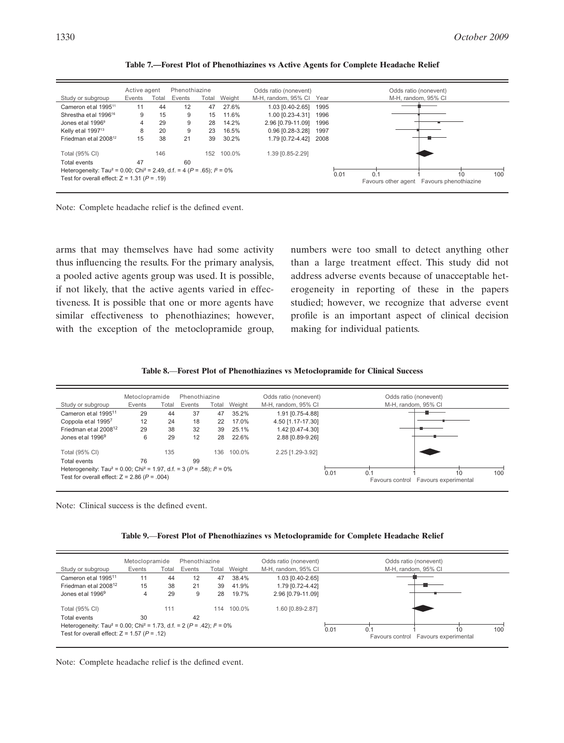|                                                                                                    | Active agent |       | Phenothiazine |       |        | Odds ratio (nonevent)    |      | Odds ratio (nonevent)                                             |
|----------------------------------------------------------------------------------------------------|--------------|-------|---------------|-------|--------|--------------------------|------|-------------------------------------------------------------------|
| Study or subgroup                                                                                  | Events       | Total | Events        | Total | Weight | M-H. random, 95% CI Year |      | M-H, random, 95% CI                                               |
| Cameron et al 1995 <sup>11</sup>                                                                   | 11           | 44    | 12            | 47    | 27.6%  | 1.03 [0.40-2.65]         | 1995 |                                                                   |
| Shrestha et al 1996 <sup>16</sup>                                                                  | 9            | 15    | 9             | 15    | 11.6%  | 1.00 [0.23-4.31]         | 1996 |                                                                   |
| Jones et al 1996 <sup>9</sup>                                                                      | 4            | 29    | 9             | 28    | 14.2%  | 2.96 [0.79-11.09]        | 1996 |                                                                   |
| Kelly et al 1997 <sup>13</sup>                                                                     | 8            | 20    | 9             | 23    | 16.5%  | 0.96 [0.28-3.28]         | 1997 |                                                                   |
| Friedman et al 2008 <sup>12</sup>                                                                  | 15           | 38    | 21            | 39    | 30.2%  | 1.79 [0.72-4.42]         | 2008 |                                                                   |
| Total (95% CI)                                                                                     |              | 146   |               | 152   | 100.0% | 1.39 [0.85-2.29]         |      |                                                                   |
| Total events                                                                                       | 47           |       | 60            |       |        |                          |      |                                                                   |
| Heterogeneity: Tau <sup>2</sup> = 0.00; Chi <sup>2</sup> = 2.49, d.f. = 4 ( $P = .65$ ); $P = 0\%$ |              |       |               |       |        |                          |      | 0.1                                                               |
| Test for overall effect: $Z = 1.31$ ( $P = .19$ )                                                  |              |       |               |       |        |                          |      | 0.01<br>100<br>10<br>Favours phenothiazine<br>Favours other agent |

**Table 7.—Forest Plot of Phenothiazines vs Active Agents for Complete Headache Relief**

Note: Complete headache relief is the defined event.

arms that may themselves have had some activity thus influencing the results. For the primary analysis, a pooled active agents group was used. It is possible, if not likely, that the active agents varied in effectiveness. It is possible that one or more agents have similar effectiveness to phenothiazines; however, with the exception of the metoclopramide group, numbers were too small to detect anything other than a large treatment effect. This study did not address adverse events because of unacceptable heterogeneity in reporting of these in the papers studied; however, we recognize that adverse event profile is an important aspect of clinical decision making for individual patients.

| Table 8.—Forest Plot of Phenothiazines vs Metoclopramide for Clinical Success |  |  |
|-------------------------------------------------------------------------------|--|--|
|-------------------------------------------------------------------------------|--|--|

|                                                                                                    | Metoclopramide |       | Phenothiazine |       |        | Odds ratio (nonevent) |      | Odds ratio (nonevent)                   |
|----------------------------------------------------------------------------------------------------|----------------|-------|---------------|-------|--------|-----------------------|------|-----------------------------------------|
| Study or subgroup                                                                                  | Events         | Total | Events        | Total | Weight | M-H, random, 95% CI   |      | M-H, random, 95% CI                     |
| Cameron et al 1995 <sup>11</sup>                                                                   | 29             | 44    | 37            | 47    | 35.2%  | 1.91 [0.75-4.88]      |      |                                         |
| Coppola et al 1995 <sup>7</sup>                                                                    | 12             | 24    | 18            | 22    | 17.0%  | 4.50 [1.17-17.30]     |      |                                         |
| Friedman et al 2008 <sup>12</sup>                                                                  | 29             | 38    | 32            | 39    | 25.1%  | 1.42 [0.47-4.30]      |      |                                         |
| Jones et al 1996 <sup>9</sup>                                                                      | 6              | 29    | 12            | 28    | 22.6%  | 2.88 [0.89-9.26]      |      |                                         |
| Total (95% CI)                                                                                     |                | 135   |               | 136   | 100.0% | 2.25 [1.29-3.92]      |      |                                         |
| Total events                                                                                       | 76             |       | 99            |       |        |                       |      |                                         |
| Heterogeneity: Tau <sup>2</sup> = 0.00; Chi <sup>2</sup> = 1.97, d.f. = 3 ( $P = .58$ ); $P = 0\%$ |                |       |               |       |        |                       | 0.01 | 100<br>0.1<br>10                        |
| Test for overall effect: $Z = 2.86$ ( $P = .004$ )                                                 |                |       |               |       |        |                       |      | Favours experimental<br>Favours control |

Note: Clinical success is the defined event.

**Table 9.**—**Forest Plot of Phenothiazines vs Metoclopramide for Complete Headache Relief**

|                                                                                                                                                         | Metoclopramide |       | Phenothiazine |       |        | Odds ratio (nonevent) |                                                      | Odds ratio (nonevent) |  |
|---------------------------------------------------------------------------------------------------------------------------------------------------------|----------------|-------|---------------|-------|--------|-----------------------|------------------------------------------------------|-----------------------|--|
| Study or subgroup                                                                                                                                       | Events         | Total | Events        | Total | Weight | M-H, random, 95% CI   |                                                      | M-H, random, 95% CI   |  |
| Cameron et al 1995 <sup>11</sup>                                                                                                                        | 11             | 44    | 12            | 47    | 38.4%  | 1.03 [0.40-2.65]      |                                                      |                       |  |
| Friedman et al 2008 <sup>12</sup>                                                                                                                       | 15             | 38    | 21            | 39    | 41.9%  | 1.79 [0.72-4.42]      |                                                      |                       |  |
| Jones et al 1996 <sup>9</sup>                                                                                                                           | 4              | 29    | 9             | 28    | 19.7%  | 2.96 [0.79-11.09]     |                                                      |                       |  |
| Total (95% CI)                                                                                                                                          |                | 111   |               | 114   | 100.0% | 1.60 [0.89-2.87]      |                                                      |                       |  |
| Total events                                                                                                                                            | 30             |       | 42            |       |        |                       |                                                      |                       |  |
| Heterogeneity: Tau <sup>2</sup> = 0.00; Chi <sup>2</sup> = 1.73, d.f. = 2 ( $P = .42$ ); $P = 0\%$<br>Test for overall effect: $Z = 1.57$ ( $P = .12$ ) |                |       |               |       |        | 0.01                  | 10<br>0.1<br>Favours experimental<br>Favours control | 100                   |  |

Note: Complete headache relief is the defined event.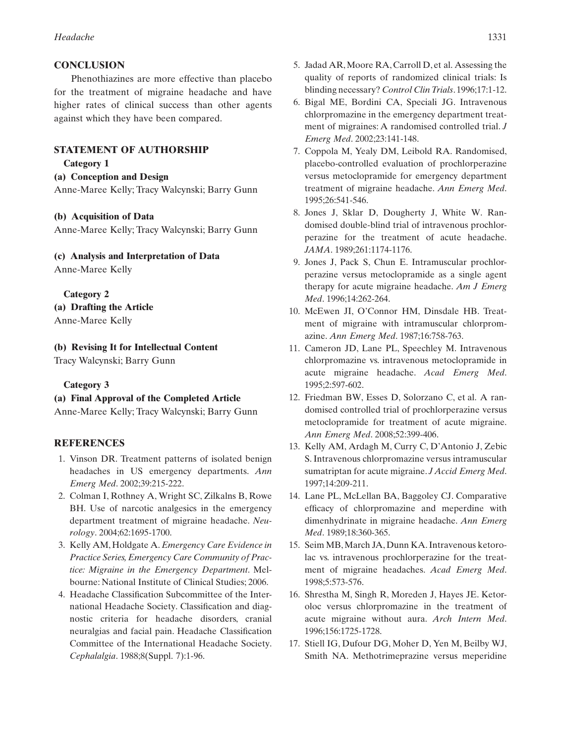### **CONCLUSION**

Phenothiazines are more effective than placebo for the treatment of migraine headache and have higher rates of clinical success than other agents against which they have been compared.

# **STATEMENT OF AUTHORSHIP**

**Category 1**

**(a) Conception and Design**

Anne-Maree Kelly; Tracy Walcynski; Barry Gunn

#### **(b) Acquisition of Data**

Anne-Maree Kelly; Tracy Walcynski; Barry Gunn

# **(c) Analysis and Interpretation of Data**

Anne-Maree Kelly

**Category 2 (a) Drafting the Article** Anne-Maree Kelly

# **(b) Revising It for Intellectual Content**

Tracy Walcynski; Barry Gunn

# **Category 3**

# **(a) Final Approval of the Completed Article**

Anne-Maree Kelly; Tracy Walcynski; Barry Gunn

# **REFERENCES**

- 1. Vinson DR. Treatment patterns of isolated benign headaches in US emergency departments. *Ann Emerg Med*. 2002;39:215-222.
- 2. Colman I, Rothney A, Wright SC, Zilkalns B, Rowe BH. Use of narcotic analgesics in the emergency department treatment of migraine headache. *Neurology*. 2004;62:1695-1700.
- 3. Kelly AM, Holdgate A. *Emergency Care Evidence in Practice Series, Emergency Care Community of Practice: Migraine in the Emergency Department*. Melbourne: National Institute of Clinical Studies; 2006.
- 4. Headache Classification Subcommittee of the International Headache Society. Classification and diagnostic criteria for headache disorders, cranial neuralgias and facial pain. Headache Classification Committee of the International Headache Society. *Cephalalgia*. 1988;8(Suppl. 7):1-96.
- 5. Jadad AR,Moore RA, Carroll D, et al. Assessing the quality of reports of randomized clinical trials: Is blinding necessary? *Control ClinTrials*. 1996;17:1-12.
- 6. Bigal ME, Bordini CA, Speciali JG. Intravenous chlorpromazine in the emergency department treatment of migraines: A randomised controlled trial. *J Emerg Med*. 2002;23:141-148.
- 7. Coppola M, Yealy DM, Leibold RA. Randomised, placebo-controlled evaluation of prochlorperazine versus metoclopramide for emergency department treatment of migraine headache. *Ann Emerg Med*. 1995;26:541-546.
- 8. Jones J, Sklar D, Dougherty J, White W. Randomised double-blind trial of intravenous prochlorperazine for the treatment of acute headache. *JAMA*. 1989;261:1174-1176.
- 9. Jones J, Pack S, Chun E. Intramuscular prochlorperazine versus metoclopramide as a single agent therapy for acute migraine headache. *Am J Emerg Med*. 1996;14:262-264.
- 10. McEwen JI, O'Connor HM, Dinsdale HB. Treatment of migraine with intramuscular chlorpromazine. *Ann Emerg Med*. 1987;16:758-763.
- 11. Cameron JD, Lane PL, Speechley M. Intravenous chlorpromazine vs. intravenous metoclopramide in acute migraine headache. *Acad Emerg Med*. 1995;2:597-602.
- 12. Friedman BW, Esses D, Solorzano C, et al. A randomised controlled trial of prochlorperazine versus metoclopramide for treatment of acute migraine. *Ann Emerg Med*. 2008;52:399-406.
- 13. Kelly AM, Ardagh M, Curry C, D'Antonio J, Zebic S. Intravenous chlorpromazine versus intramuscular sumatriptan for acute migraine. *J Accid Emerg Med*. 1997;14:209-211.
- 14. Lane PL, McLellan BA, Baggoley CJ. Comparative efficacy of chlorpromazine and meperdine with dimenhydrinate in migraine headache. *Ann Emerg Med*. 1989;18:360-365.
- 15. Seim MB,March JA, Dunn KA. Intravenous ketorolac vs. intravenous prochlorperazine for the treatment of migraine headaches. *Acad Emerg Med*. 1998;5:573-576.
- 16. Shrestha M, Singh R, Moreden J, Hayes JE. Ketoroloc versus chlorpromazine in the treatment of acute migraine without aura. *Arch Intern Med*. 1996;156:1725-1728.
- 17. Stiell IG, Dufour DG, Moher D, Yen M, Beilby WJ, Smith NA. Methotrimeprazine versus meperidine